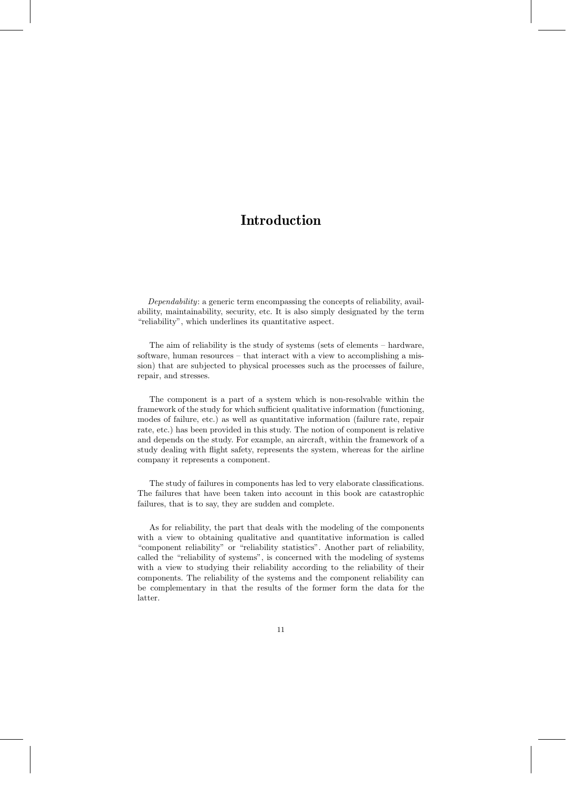## **Introduction**

*Dependability*: a generic term encompassing the concepts of reliability, availability, maintainability, security, etc. It is also simply designated by the term "reliability", which underlines its quantitative aspect.

The aim of reliability is the study of systems (sets of elements – hardware, software, human resources – that interact with a view to accomplishing a mission) that are subjected to physical processes such as the processes of failure, repair, and stresses.

The component is a part of a system which is non-resolvable within the framework of the study for which sufficient qualitative information (functioning, modes of failure, etc.) as well as quantitative information (failure rate, repair rate, etc.) has been provided in this study. The notion of component is relative and depends on the study. For example, an aircraft, within the framework of a study dealing with flight safety, represents the system, whereas for the airline company it represents a component.

The study of failures in components has led to very elaborate classifications. The failures that have been taken into account in this book are catastrophic failures, that is to say, they are sudden and complete.

As for reliability, the part that deals with the modeling of the components with a view to obtaining qualitative and quantitative information is called "component reliability" or "reliability statistics". Another part of reliability, called the "reliability of systems", is concerned with the modeling of systems with a view to studying their reliability according to the reliability of their components. The reliability of the systems and the component reliability can be complementary in that the results of the former form the data for the latter.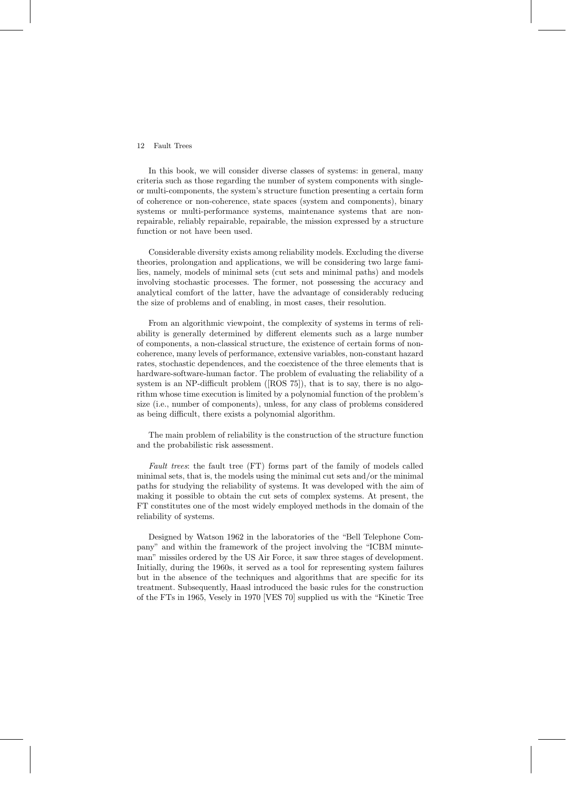## 12 Fault Trees

In this book, we will consider diverse classes of systems: in general, many criteria such as those regarding the number of system components with singleor multi-components, the system's structure function presenting a certain form of coherence or non-coherence, state spaces (system and components), binary systems or multi-performance systems, maintenance systems that are nonrepairable, reliably repairable, repairable, the mission expressed by a structure function or not have been used.

Considerable diversity exists among reliability models. Excluding the diverse theories, prolongation and applications, we will be considering two large families, namely, models of minimal sets (cut sets and minimal paths) and models involving stochastic processes. The former, not possessing the accuracy and analytical comfort of the latter, have the advantage of considerably reducing the size of problems and of enabling, in most cases, their resolution.

From an algorithmic viewpoint, the complexity of systems in terms of reliability is generally determined by different elements such as a large number of components, a non-classical structure, the existence of certain forms of noncoherence, many levels of performance, extensive variables, non-constant hazard rates, stochastic dependences, and the coexistence of the three elements that is hardware-software-human factor. The problem of evaluating the reliability of a system is an NP-difficult problem ([ROS 75]), that is to say, there is no algorithm whose time execution is limited by a polynomial function of the problem's size (i.e., number of components), unless, for any class of problems considered as being difficult, there exists a polynomial algorithm.

The main problem of reliability is the construction of the structure function and the probabilistic risk assessment.

*Fault trees*: the fault tree (FT) forms part of the family of models called minimal sets, that is, the models using the minimal cut sets and/or the minimal paths for studying the reliability of systems. It was developed with the aim of making it possible to obtain the cut sets of complex systems. At present, the FT constitutes one of the most widely employed methods in the domain of the reliability of systems.

Designed by Watson 1962 in the laboratories of the "Bell Telephone Company" and within the framework of the project involving the "ICBM minuteman" missiles ordered by the US Air Force, it saw three stages of development. Initially, during the 1960s, it served as a tool for representing system failures but in the absence of the techniques and algorithms that are specific for its treatment. Subsequently, Haasl introduced the basic rules for the construction of the FTs in 1965, Vesely in 1970 [VES 70] supplied us with the "Kinetic Tree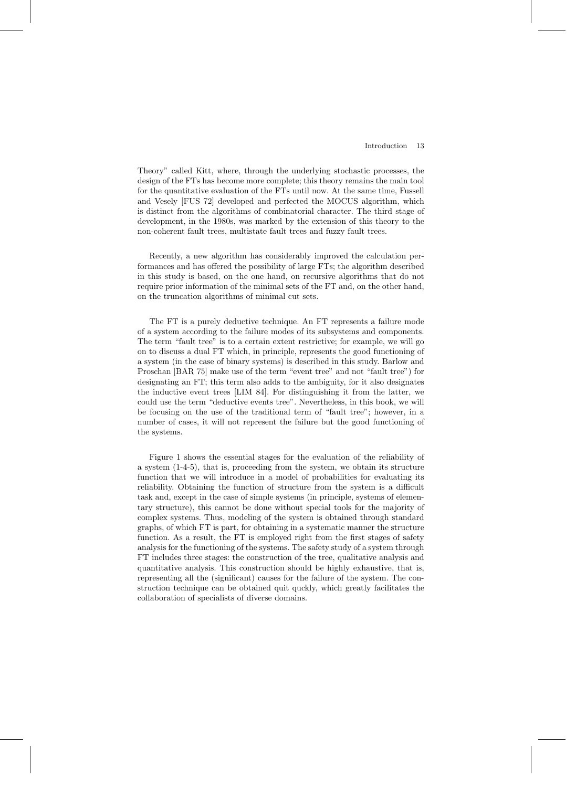Theory" called Kitt, where, through the underlying stochastic processes, the design of the FTs has become more complete; this theory remains the main tool for the quantitative evaluation of the FTs until now. At the same time, Fussell and Vesely [FUS 72] developed and perfected the MOCUS algorithm, which is distinct from the algorithms of combinatorial character. The third stage of development, in the 1980s, was marked by the extension of this theory to the non-coherent fault trees, multistate fault trees and fuzzy fault trees.

Recently, a new algorithm has considerably improved the calculation performances and has offered the possibility of large FTs; the algorithm described in this study is based, on the one hand, on recursive algorithms that do not require prior information of the minimal sets of the FT and, on the other hand, on the truncation algorithms of minimal cut sets.

The FT is a purely deductive technique. An FT represents a failure mode of a system according to the failure modes of its subsystems and components. The term "fault tree" is to a certain extent restrictive; for example, we will go on to discuss a dual FT which, in principle, represents the good functioning of a system (in the case of binary systems) is described in this study. Barlow and Proschan [BAR 75] make use of the term "event tree" and not "fault tree") for designating an FT; this term also adds to the ambiguity, for it also designates the inductive event trees [LIM 84]. For distinguishing it from the latter, we could use the term "deductive events tree". Nevertheless, in this book, we will be focusing on the use of the traditional term of "fault tree"; however, in a number of cases, it will not represent the failure but the good functioning of the systems.

Figure 1 shows the essential stages for the evaluation of the reliability of a system (1-4-5), that is, proceeding from the system, we obtain its structure function that we will introduce in a model of probabilities for evaluating its reliability. Obtaining the function of structure from the system is a difficult task and, except in the case of simple systems (in principle, systems of elementary structure), this cannot be done without special tools for the majority of complex systems. Thus, modeling of the system is obtained through standard graphs, of which FT is part, for obtaining in a systematic manner the structure function. As a result, the FT is employed right from the first stages of safety analysis for the functioning of the systems. The safety study of a system through FT includes three stages: the construction of the tree, qualitative analysis and quantitative analysis. This construction should be highly exhaustive, that is, representing all the (significant) causes for the failure of the system. The construction technique can be obtained quit quckly, which greatly facilitates the collaboration of specialists of diverse domains.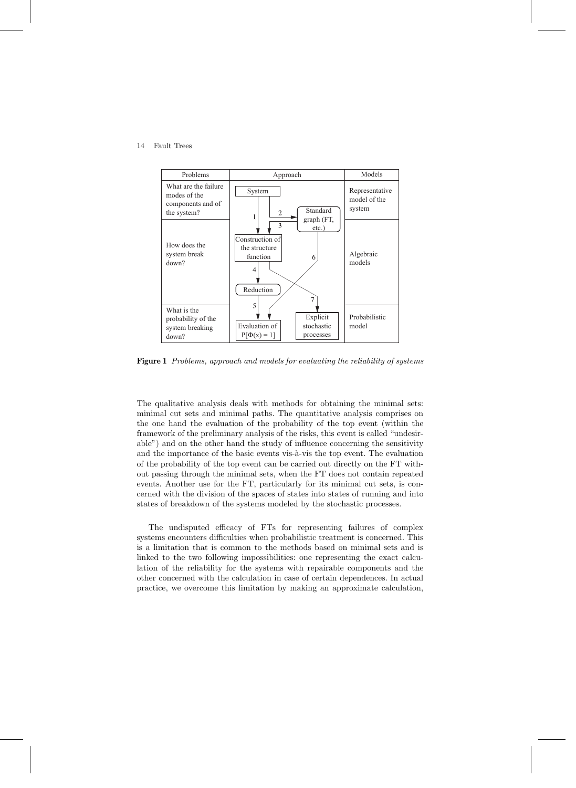## 14 Fault Trees



**Figure 1** *Problems, approach and models for evaluating the reliability of systems*

The qualitative analysis deals with methods for obtaining the minimal sets: minimal cut sets and minimal paths. The quantitative analysis comprises on the one hand the evaluation of the probability of the top event (within the framework of the preliminary analysis of the risks, this event is called "undesirable") and on the other hand the study of influence concerning the sensitivity and the importance of the basic events vis-à-vis the top event. The evaluation of the probability of the top event can be carried out directly on the FT without passing through the minimal sets, when the FT does not contain repeated events. Another use for the FT, particularly for its minimal cut sets, is concerned with the division of the spaces of states into states of running and into states of breakdown of the systems modeled by the stochastic processes.

The undisputed efficacy of FTs for representing failures of complex systems encounters difficulties when probabilistic treatment is concerned. This is a limitation that is common to the methods based on minimal sets and is linked to the two following impossibilities: one representing the exact calculation of the reliability for the systems with repairable components and the other concerned with the calculation in case of certain dependences. In actual practice, we overcome this limitation by making an approximate calculation,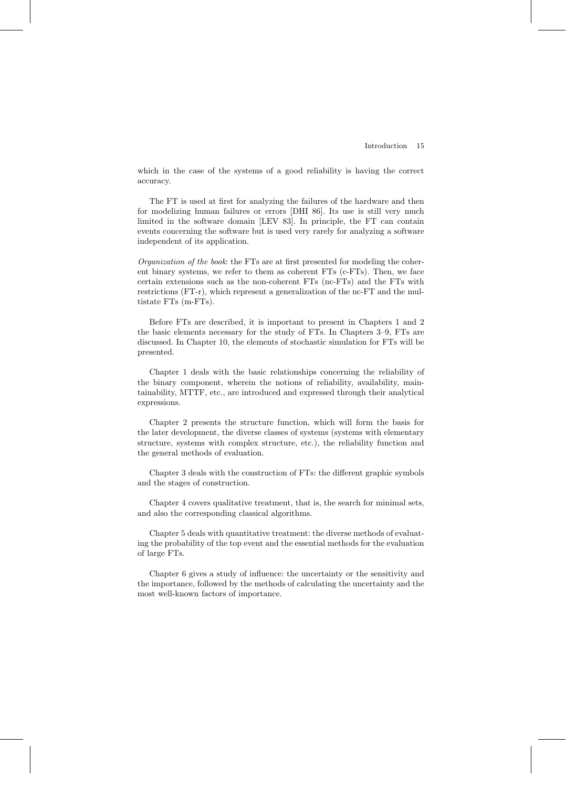which in the case of the systems of a good reliability is having the correct accuracy.

The FT is used at first for analyzing the failures of the hardware and then for modelizing human failures or errors [DHI 86]. Its use is still very much limited in the software domain [LEV 83]. In principle, the FT can contain events concerning the software but is used very rarely for analyzing a software independent of its application.

*Organization of the book*: the FTs are at first presented for modeling the coherent binary systems, we refer to them as coherent FTs (c-FTs). Then, we face certain extensions such as the non-coherent FTs (nc-FTs) and the FTs with restrictions (FT-r), which represent a generalization of the nc-FT and the multistate FTs (m-FTs).

Before FTs are described, it is important to present in Chapters 1 and 2 the basic elements necessary for the study of FTs. In Chapters 3–9, FTs are discussed. In Chapter 10, the elements of stochastic simulation for FTs will be presented.

Chapter 1 deals with the basic relationships concerning the reliability of the binary component, wherein the notions of reliability, availability, maintainability, MTTF, etc., are introduced and expressed through their analytical expressions.

Chapter 2 presents the structure function, which will form the basis for the later development, the diverse classes of systems (systems with elementary structure, systems with complex structure, etc.), the reliability function and the general methods of evaluation.

Chapter 3 deals with the construction of FTs: the different graphic symbols and the stages of construction.

Chapter 4 covers qualitative treatment, that is, the search for minimal sets, and also the corresponding classical algorithms.

Chapter 5 deals with quantitative treatment: the diverse methods of evaluating the probability of the top event and the essential methods for the evaluation of large FTs.

Chapter 6 gives a study of influence: the uncertainty or the sensitivity and the importance, followed by the methods of calculating the uncertainty and the most well-known factors of importance.